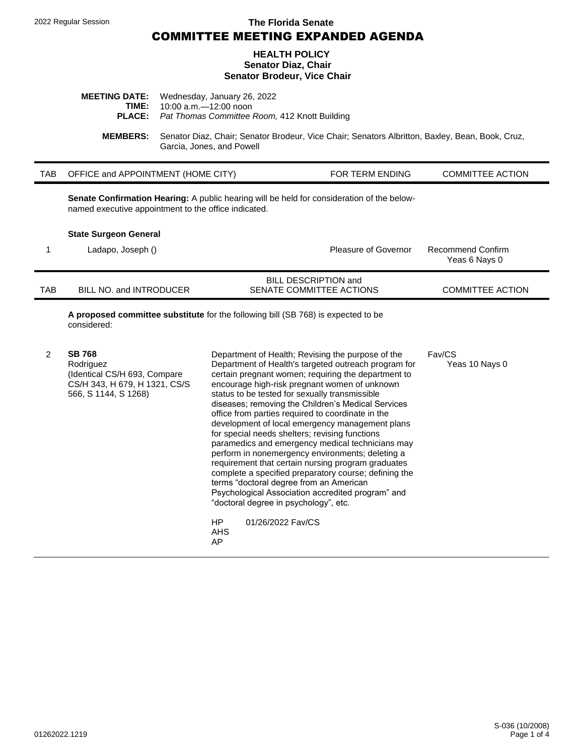#### 2022 Regular Session **The Florida Senate**

COMMITTEE MEETING EXPANDED AGENDA

#### **HEALTH POLICY Senator Diaz, Chair Senator Brodeur, Vice Chair**

| <b>MEETING DATE:</b> Wednesday, January 26, 2022            |
|-------------------------------------------------------------|
| <b>TIME:</b> $10:00$ a.m. $-12:00$ noon                     |
| <b>PLACE:</b> Pat Thomas Committee Room, 412 Knott Building |

**MEMBERS:** Senator Diaz, Chair; Senator Brodeur, Vice Chair; Senators Albritton, Baxley, Bean, Book, Cruz, Garcia, Jones, and Powell

| TAB OFFICE and APPOINTMENT (HOME CITY) | <b>FOR TERM ENDING</b> | <b>COMMITTEE ACTION</b> |
|----------------------------------------|------------------------|-------------------------|
|                                        |                        |                         |

**Senate Confirmation Hearing:** A public hearing will be held for consideration of the belownamed executive appointment to the office indicated.

#### **State Surgeon General**

|     | Ladapo, Joseph ()       | Pleasure of Governor                             | Recommend Confirm<br>Yeas 6 Nays 0 |
|-----|-------------------------|--------------------------------------------------|------------------------------------|
| TAB | BILL NO. and INTRODUCER | BILL DESCRIPTION and<br>SENATE COMMITTEE ACTIONS | <b>COMMITTEE ACTION</b>            |

**A proposed committee substitute** for the following bill (SB 768) is expected to be considered:

| <b>SB 768</b><br>Rodriguez<br>(Identical CS/H 693, Compare<br>CS/H 343, H 679, H 1321, CS/S<br>566, S 1144, S 1268) | Department of Health; Revising the purpose of the<br>Department of Health's targeted outreach program for<br>certain pregnant women; requiring the department to<br>encourage high-risk pregnant women of unknown<br>status to be tested for sexually transmissible<br>diseases; removing the Children's Medical Services<br>office from parties required to coordinate in the<br>development of local emergency management plans<br>for special needs shelters; revising functions<br>paramedics and emergency medical technicians may<br>perform in nonemergency environments; deleting a<br>requirement that certain nursing program graduates<br>complete a specified preparatory course; defining the<br>terms "doctoral degree from an American<br>Psychological Association accredited program" and<br>"doctoral degree in psychology", etc. | Fav/CS<br>Yeas 10 Nays 0 |
|---------------------------------------------------------------------------------------------------------------------|-----------------------------------------------------------------------------------------------------------------------------------------------------------------------------------------------------------------------------------------------------------------------------------------------------------------------------------------------------------------------------------------------------------------------------------------------------------------------------------------------------------------------------------------------------------------------------------------------------------------------------------------------------------------------------------------------------------------------------------------------------------------------------------------------------------------------------------------------------|--------------------------|
|                                                                                                                     | HP.<br>01/26/2022 Fay/CS<br><b>AHS</b><br>AP                                                                                                                                                                                                                                                                                                                                                                                                                                                                                                                                                                                                                                                                                                                                                                                                        |                          |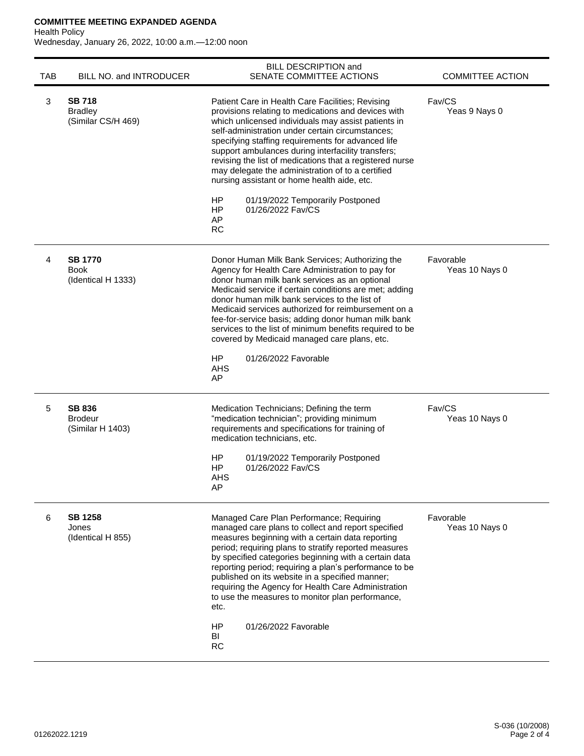# **COMMITTEE MEETING EXPANDED AGENDA**

Health Policy

Wednesday, January 26, 2022, 10:00 a.m.—12:00 noon

| <b>TAB</b> | BILL NO. and INTRODUCER                               | <b>BILL DESCRIPTION and</b><br>SENATE COMMITTEE ACTIONS                                                                                                                                                                                                                                                                                                                                                                                                                                                                                                                                | <b>COMMITTEE ACTION</b>     |
|------------|-------------------------------------------------------|----------------------------------------------------------------------------------------------------------------------------------------------------------------------------------------------------------------------------------------------------------------------------------------------------------------------------------------------------------------------------------------------------------------------------------------------------------------------------------------------------------------------------------------------------------------------------------------|-----------------------------|
| 3          | <b>SB 718</b><br><b>Bradley</b><br>(Similar CS/H 469) | Patient Care in Health Care Facilities; Revising<br>provisions relating to medications and devices with<br>which unlicensed individuals may assist patients in<br>self-administration under certain circumstances;<br>specifying staffing requirements for advanced life<br>support ambulances during interfacility transfers;<br>revising the list of medications that a registered nurse<br>may delegate the administration of to a certified<br>nursing assistant or home health aide, etc.<br>HP<br>01/19/2022 Temporarily Postponed<br>01/26/2022 Fav/CS<br>HP<br>AP<br><b>RC</b> | Fav/CS<br>Yeas 9 Nays 0     |
| 4          | <b>SB 1770</b><br><b>Book</b><br>(Identical H 1333)   | Donor Human Milk Bank Services; Authorizing the<br>Agency for Health Care Administration to pay for<br>donor human milk bank services as an optional<br>Medicaid service if certain conditions are met; adding<br>donor human milk bank services to the list of<br>Medicaid services authorized for reimbursement on a<br>fee-for-service basis; adding donor human milk bank<br>services to the list of minimum benefits required to be<br>covered by Medicaid managed care plans, etc.<br><b>HP</b><br>01/26/2022 Favorable<br><b>AHS</b><br>AP                                      | Favorable<br>Yeas 10 Nays 0 |
| 5          | <b>SB 836</b><br><b>Brodeur</b><br>(Similar H 1403)   | Medication Technicians; Defining the term<br>"medication technician"; providing minimum<br>requirements and specifications for training of<br>medication technicians, etc.<br>HP<br>01/19/2022 Temporarily Postponed<br>01/26/2022 Fav/CS<br>HP<br>AHS<br>AP                                                                                                                                                                                                                                                                                                                           | Fav/CS<br>Yeas 10 Nays 0    |
| 6          | <b>SB 1258</b><br>Jones<br>(Identical H 855)          | Managed Care Plan Performance; Requiring<br>managed care plans to collect and report specified<br>measures beginning with a certain data reporting<br>period; requiring plans to stratify reported measures<br>by specified categories beginning with a certain data<br>reporting period; requiring a plan's performance to be<br>published on its website in a specified manner;<br>requiring the Agency for Health Care Administration<br>to use the measures to monitor plan performance,<br>etc.<br>HP<br>01/26/2022 Favorable<br>BI<br><b>RC</b>                                  | Favorable<br>Yeas 10 Nays 0 |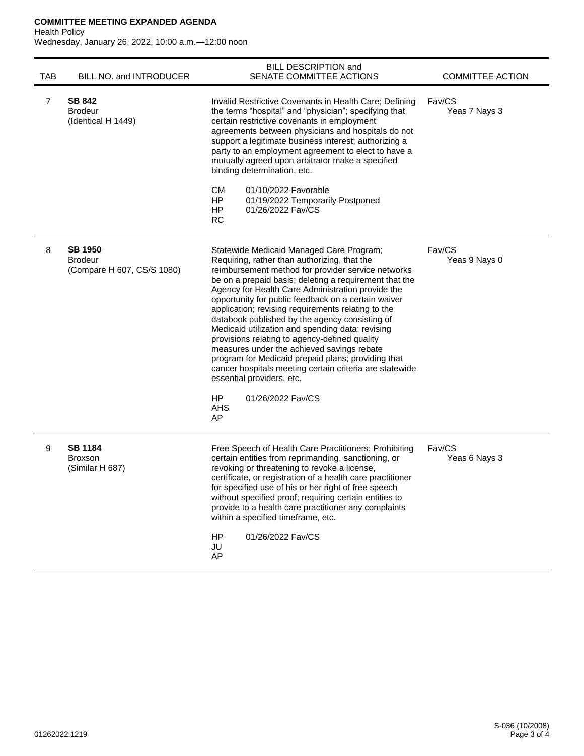# **COMMITTEE MEETING EXPANDED AGENDA**

# Health Policy

Wednesday, January 26, 2022, 10:00 a.m.—12:00 noon

| <b>TAB</b> | BILL NO. and INTRODUCER                                        | <b>BILL DESCRIPTION and</b><br>SENATE COMMITTEE ACTIONS                                                                                                                                                                                                                                                                                                                                                                                                                                                                                                                                                                                                                                                                                                                       | <b>COMMITTEE ACTION</b> |
|------------|----------------------------------------------------------------|-------------------------------------------------------------------------------------------------------------------------------------------------------------------------------------------------------------------------------------------------------------------------------------------------------------------------------------------------------------------------------------------------------------------------------------------------------------------------------------------------------------------------------------------------------------------------------------------------------------------------------------------------------------------------------------------------------------------------------------------------------------------------------|-------------------------|
| 7          | <b>SB 842</b><br><b>Brodeur</b><br>(Identical H 1449)          | Invalid Restrictive Covenants in Health Care; Defining<br>the terms "hospital" and "physician"; specifying that<br>certain restrictive covenants in employment<br>agreements between physicians and hospitals do not<br>support a legitimate business interest; authorizing a<br>party to an employment agreement to elect to have a<br>mutually agreed upon arbitrator make a specified<br>binding determination, etc.<br>CМ<br>01/10/2022 Favorable<br><b>HP</b><br>01/19/2022 Temporarily Postponed                                                                                                                                                                                                                                                                        | Fav/CS<br>Yeas 7 Nays 3 |
|            |                                                                | 01/26/2022 Fav/CS<br>HP.<br><b>RC</b>                                                                                                                                                                                                                                                                                                                                                                                                                                                                                                                                                                                                                                                                                                                                         |                         |
| 8          | <b>SB 1950</b><br><b>Brodeur</b><br>(Compare H 607, CS/S 1080) | Statewide Medicaid Managed Care Program;<br>Requiring, rather than authorizing, that the<br>reimbursement method for provider service networks<br>be on a prepaid basis; deleting a requirement that the<br>Agency for Health Care Administration provide the<br>opportunity for public feedback on a certain waiver<br>application; revising requirements relating to the<br>databook published by the agency consisting of<br>Medicaid utilization and spending data; revising<br>provisions relating to agency-defined quality<br>measures under the achieved savings rebate<br>program for Medicaid prepaid plans; providing that<br>cancer hospitals meeting certain criteria are statewide<br>essential providers, etc.<br>01/26/2022 Fay/CS<br>HP.<br><b>AHS</b><br>AP | Fav/CS<br>Yeas 9 Nays 0 |
| 9          | <b>SB 1184</b><br><b>Broxson</b><br>(Similar H 687)            | Free Speech of Health Care Practitioners; Prohibiting<br>certain entities from reprimanding, sanctioning, or<br>revoking or threatening to revoke a license,<br>certificate, or registration of a health care practitioner<br>for specified use of his or her right of free speech<br>without specified proof; requiring certain entities to<br>provide to a health care practitioner any complaints<br>within a specified timeframe, etc.<br>HP<br>01/26/2022 Fav/CS<br>JU<br>AP                                                                                                                                                                                                                                                                                             | Fav/CS<br>Yeas 6 Nays 3 |